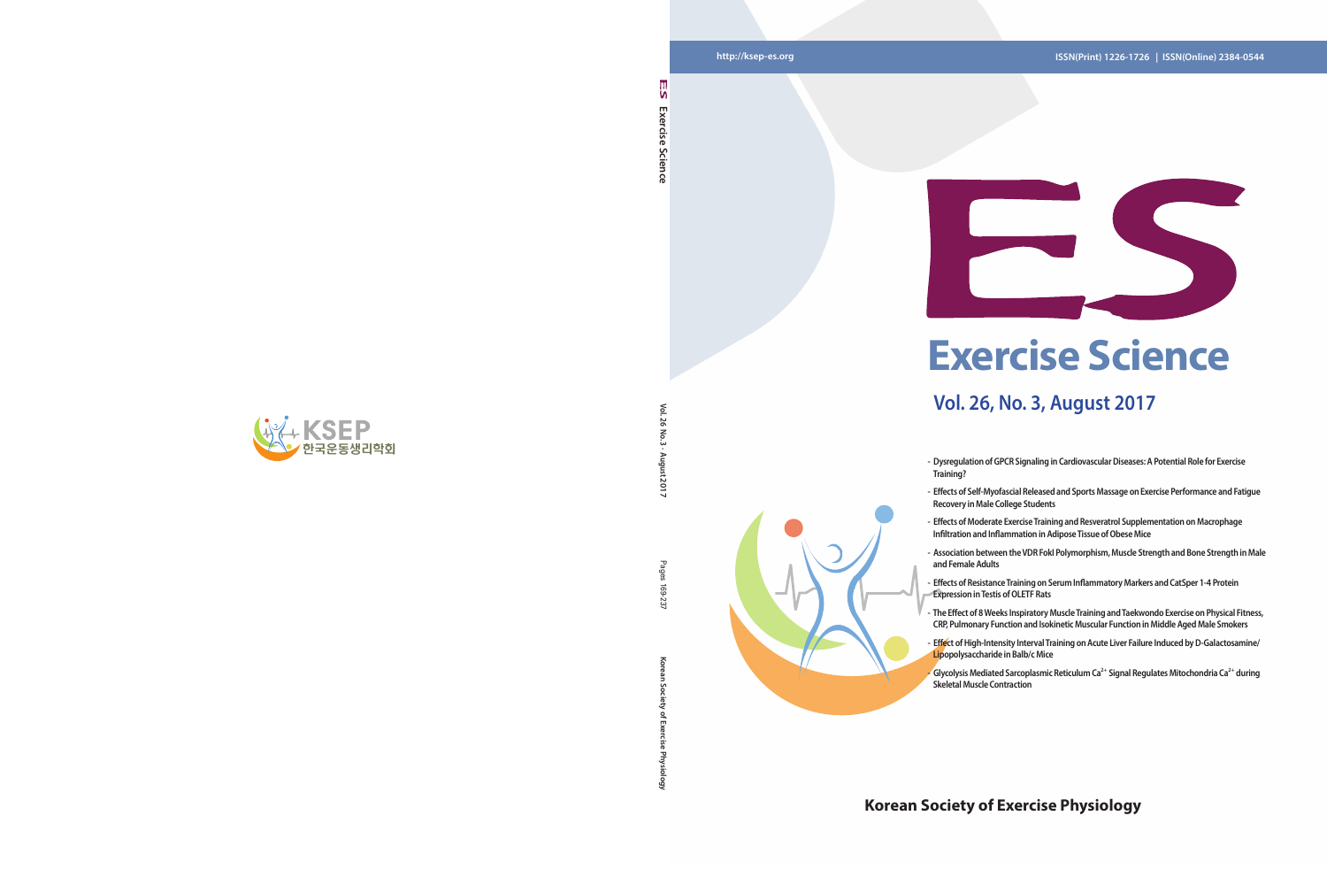**Korean Society of Exercise Physiology** Pages 169-237 ਨ

Goi

#### **http://ksep-es.org ISSN(Print) 1226-1726 | ISSN(Online) 2384-0544**

#### **Korean Society of Exercise Physiology**



## **Exercise Science**

#### **Vol. 26, No. 3, August 2017**

**- Dysregulation of GPCR Signaling in Cardiovascular Diseases: A Potential Role for Exercise** 

**- Effects of Self-Myofascial Released and Sports Massage on Exercise Performance and Fatigue Recovery in Male College Students**



- **Training?**
- 
- **Effects of Moderate Exercise Training and Resveratrol Supplementation on Macrophage Infiltration and Inflammation in Adipose Tissue of Obese Mice**
- 
- **Effects of Resistance Training on Serum Inflammatory Markers and CatSper 1-4 Protein Expression in Testis of OLETF Rats**
- **The Effect of 8 Weeks Inspiratory Muscle Training and Taekwondo Exercise on Physical Fitness,**
- - Glycolysis Mediated Sarcoplasmic Reticulum Ca<sup>2+</sup> Signal Regulates Mitochondria Ca<sup>2+</sup> during **Skeletal Muscle Contraction**

- 
- 
- **Association between the VDR FokI Polymorphism, Muscle Strength and Bone Strength in Male and Female Adults**
- 
- **CRP, Pulmonary Function and Isokinetic Muscular Function in Middle Aged Male Smokers - Effect of High-Intensity Interval Training on Acute Liver Failure Induced by D-Galactosamine/**
- 

۱n Exercise **Exercise Science**  Science

Vol. 26 **Vol. 26 No. 3 · August 2017**  $\overline{5}$ 12017

Pages 691

-237

**Lipopolysaccharide in Balb/c Mice**